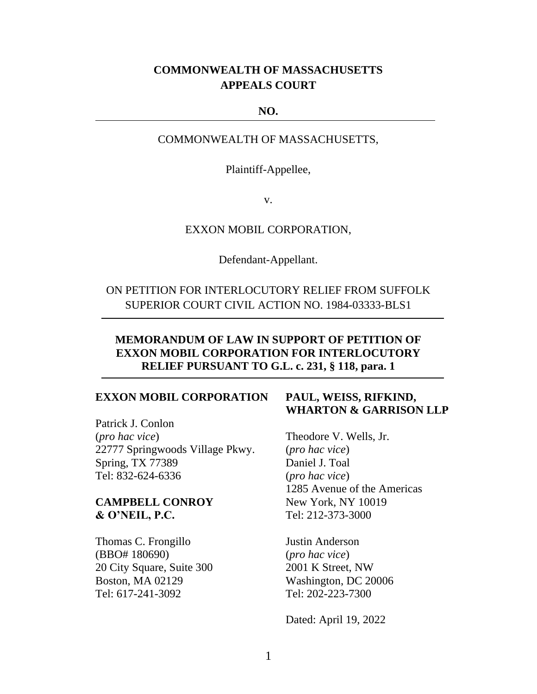# **COMMONWEALTH OF MASSACHUSETTS APPEALS COURT**

#### **NO.**

COMMONWEALTH OF MASSACHUSETTS,

Plaintiff-Appellee,

v.

#### EXXON MOBIL CORPORATION,

Defendant-Appellant.

ON PETITION FOR INTERLOCUTORY RELIEF FROM SUFFOLK SUPERIOR COURT CIVIL ACTION NO. 1984-03333-BLS1

## **MEMORANDUM OF LAW IN SUPPORT OF PETITION OF EXXON MOBIL CORPORATION FOR INTERLOCUTORY RELIEF PURSUANT TO G.L. c. 231, § 118, para. 1**

### **EXXON MOBIL CORPORATION**

Patrick J. Conlon (*pro hac vice*) 22777 Springwoods Village Pkwy. Spring, TX 77389 Tel: 832-624-6336

### **CAMPBELL CONROY & O'NEIL, P.C.**

Thomas C. Frongillo (BBO# 180690) 20 City Square, Suite 300 Boston, MA 02129 Tel: 617-241-3092

# **PAUL, WEISS, RIFKIND, WHARTON & GARRISON LLP**

Theodore V. Wells, Jr. (*pro hac vice*) Daniel J. Toal (*pro hac vice*) 1285 Avenue of the Americas New York, NY 10019 Tel: 212-373-3000

Justin Anderson (*pro hac vice*) 2001 K Street, NW Washington, DC 20006 Tel: 202-223-7300

Dated: April 19, 2022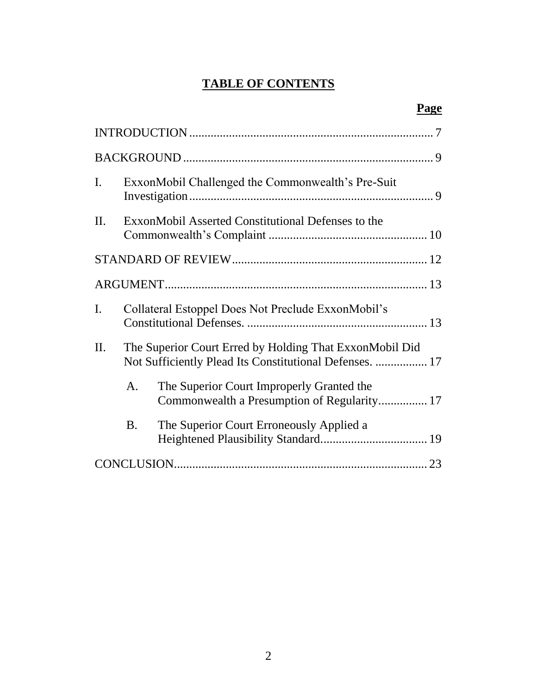# **TABLE OF CONTENTS**

| $\mathbf{I}$ . |                                                                                                                    | ExxonMobil Challenged the Commonwealth's Pre-Suit                                        |  |  |  |
|----------------|--------------------------------------------------------------------------------------------------------------------|------------------------------------------------------------------------------------------|--|--|--|
| II.            |                                                                                                                    | ExxonMobil Asserted Constitutional Defenses to the                                       |  |  |  |
|                |                                                                                                                    |                                                                                          |  |  |  |
|                |                                                                                                                    |                                                                                          |  |  |  |
| $\mathbf{I}$ . |                                                                                                                    | Collateral Estoppel Does Not Preclude ExxonMobil's                                       |  |  |  |
| II.            | The Superior Court Erred by Holding That ExxonMobil Did<br>Not Sufficiently Plead Its Constitutional Defenses.  17 |                                                                                          |  |  |  |
|                | A.                                                                                                                 | The Superior Court Improperly Granted the<br>Commonwealth a Presumption of Regularity 17 |  |  |  |
|                | <b>B.</b>                                                                                                          | The Superior Court Erroneously Applied a                                                 |  |  |  |
|                |                                                                                                                    |                                                                                          |  |  |  |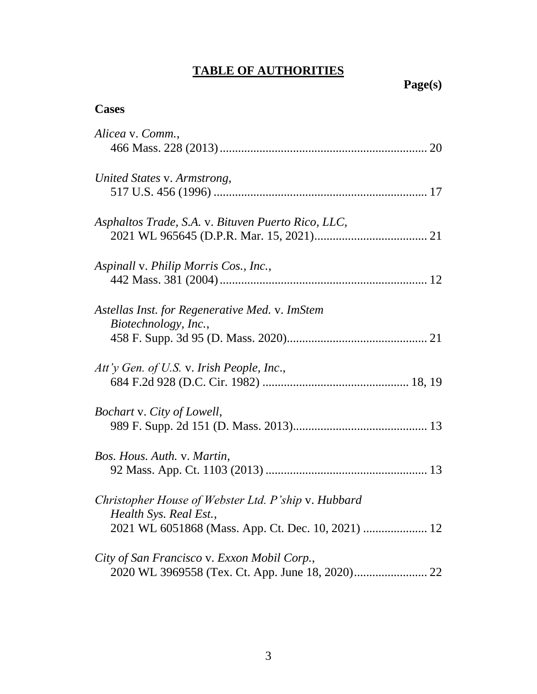# **TABLE OF AUTHORITIES**

# **Page(s)**

# **Cases**

| Alicea v. Comm.,                                                              |
|-------------------------------------------------------------------------------|
|                                                                               |
| United States v. Armstrong,                                                   |
|                                                                               |
| Asphaltos Trade, S.A. v. Bituven Puerto Rico, LLC,                            |
|                                                                               |
| Aspinall v. Philip Morris Cos., Inc.,                                         |
|                                                                               |
| Astellas Inst. for Regenerative Med. v. ImStem                                |
| Biotechnology, Inc.,                                                          |
|                                                                               |
| Att'y Gen. of U.S. v. Irish People, Inc.,                                     |
|                                                                               |
| Bochart v. City of Lowell,                                                    |
|                                                                               |
| Bos. Hous. Auth. v. Martin,                                                   |
|                                                                               |
| Christopher House of Webster Ltd. P'ship v. Hubbard<br>Health Sys. Real Est., |
| 2021 WL 6051868 (Mass. App. Ct. Dec. 10, 2021)  12                            |
| City of San Francisco v. Exxon Mobil Corp.,                                   |
|                                                                               |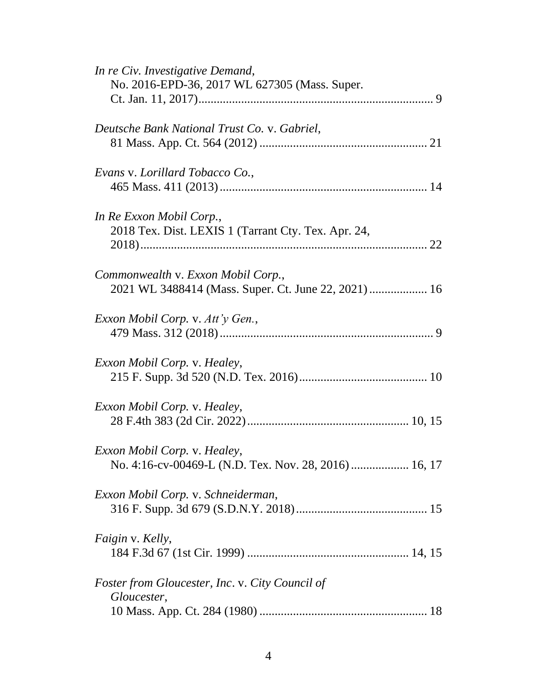| In re Civ. Investigative Demand,<br>No. 2016-EPD-36, 2017 WL 627305 (Mass. Super.          |
|--------------------------------------------------------------------------------------------|
| Deutsche Bank National Trust Co. v. Gabriel,                                               |
| Evans v. Lorillard Tobacco Co.,                                                            |
| In Re Exxon Mobil Corp.,<br>2018 Tex. Dist. LEXIS 1 (Tarrant Cty. Tex. Apr. 24,            |
| Commonwealth v. Exxon Mobil Corp.,<br>2021 WL 3488414 (Mass. Super. Ct. June 22, 2021)  16 |
| Exxon Mobil Corp. v. Att'y Gen.,                                                           |
| <i>Exxon Mobil Corp.</i> v. <i>Healey</i> ,                                                |
| <i>Exxon Mobil Corp. v. Healey,</i>                                                        |
| Exxon Mobil Corp. v. Healey,<br>No. 4:16-cv-00469-L (N.D. Tex. Nov. 28, 2016)  16, 17      |
| Exxon Mobil Corp. v. Schneiderman,                                                         |
| Faigin v. Kelly,                                                                           |
| <i>Foster from Gloucester, Inc. v. City Council of</i><br>Gloucester,                      |
|                                                                                            |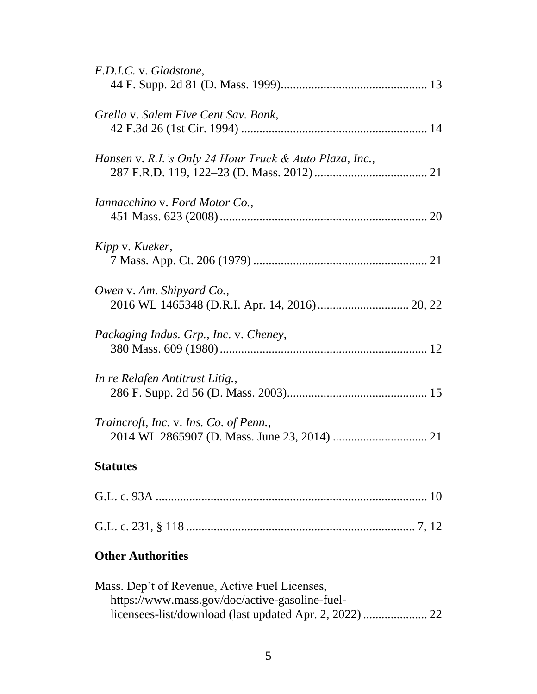| F.D.I.C. v. Gladstone,                                  |
|---------------------------------------------------------|
| Grella v. Salem Five Cent Sav. Bank,                    |
| Hansen v. R.I.'s Only 24 Hour Truck & Auto Plaza, Inc., |
| Iannacchino v. Ford Motor Co.,                          |
| Kipp v. Kueker,                                         |
| Owen v. Am. Shipyard Co.,                               |
| Packaging Indus. Grp., Inc. v. Cheney,                  |
| In re Relafen Antitrust Litig.,                         |
| Traincroft, Inc. v. Ins. Co. of Penn.,                  |
| <b>Statutes</b>                                         |
|                                                         |
|                                                         |

# **Other Authorities**

| Mass. Dep't of Revenue, Active Fuel Licenses,  |  |
|------------------------------------------------|--|
| https://www.mass.gov/doc/active-gasoline-fuel- |  |
|                                                |  |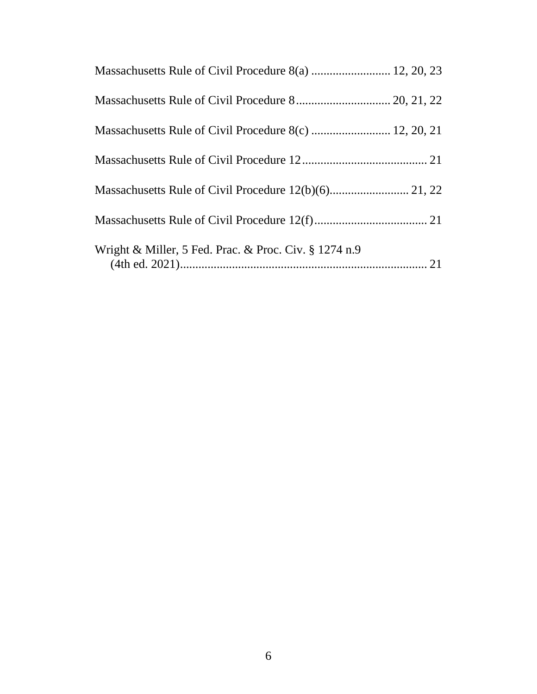| Massachusetts Rule of Civil Procedure 8(a)  12, 20, 23   |  |
|----------------------------------------------------------|--|
|                                                          |  |
|                                                          |  |
|                                                          |  |
|                                                          |  |
|                                                          |  |
| Wright & Miller, 5 Fed. Prac. & Proc. Civ. $\S 1274$ n.9 |  |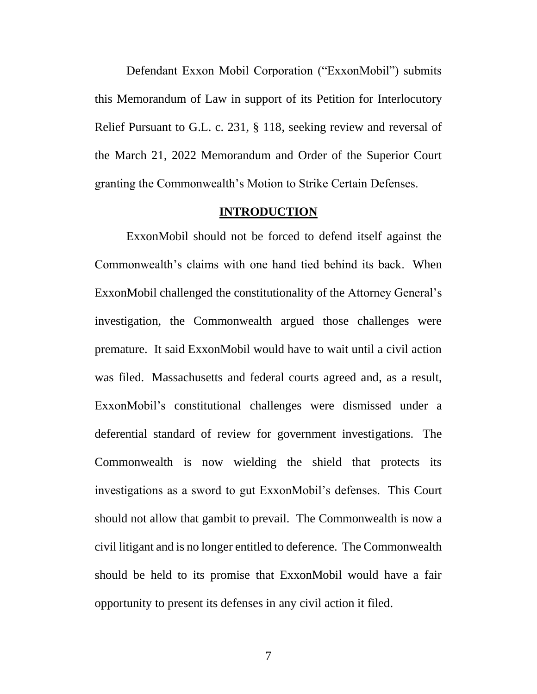Defendant Exxon Mobil Corporation ("ExxonMobil") submits this Memorandum of Law in support of its Petition for Interlocutory Relief Pursuant to G.L. c. 231, § 118, seeking review and reversal of the March 21, 2022 Memorandum and Order of the Superior Court granting the Commonwealth's Motion to Strike Certain Defenses.

#### <span id="page-6-1"></span>**INTRODUCTION**

<span id="page-6-0"></span>ExxonMobil should not be forced to defend itself against the Commonwealth's claims with one hand tied behind its back. When ExxonMobil challenged the constitutionality of the Attorney General's investigation, the Commonwealth argued those challenges were premature. It said ExxonMobil would have to wait until a civil action was filed. Massachusetts and federal courts agreed and, as a result, ExxonMobil's constitutional challenges were dismissed under a deferential standard of review for government investigations. The Commonwealth is now wielding the shield that protects its investigations as a sword to gut ExxonMobil's defenses. This Court should not allow that gambit to prevail. The Commonwealth is now a civil litigant and is no longer entitled to deference. The Commonwealth should be held to its promise that ExxonMobil would have a fair opportunity to present its defenses in any civil action it filed.

7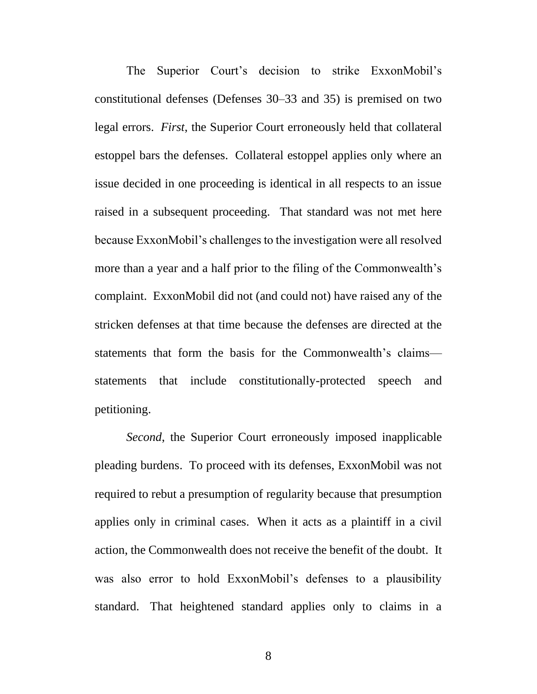The Superior Court's decision to strike ExxonMobil's constitutional defenses (Defenses 30–33 and 35) is premised on two legal errors. *First*, the Superior Court erroneously held that collateral estoppel bars the defenses. Collateral estoppel applies only where an issue decided in one proceeding is identical in all respects to an issue raised in a subsequent proceeding. That standard was not met here because ExxonMobil's challenges to the investigation were all resolved more than a year and a half prior to the filing of the Commonwealth's complaint. ExxonMobil did not (and could not) have raised any of the stricken defenses at that time because the defenses are directed at the statements that form the basis for the Commonwealth's claims statements that include constitutionally-protected speech and petitioning.

*Second*, the Superior Court erroneously imposed inapplicable pleading burdens. To proceed with its defenses, ExxonMobil was not required to rebut a presumption of regularity because that presumption applies only in criminal cases. When it acts as a plaintiff in a civil action, the Commonwealth does not receive the benefit of the doubt. It was also error to hold ExxonMobil's defenses to a plausibility standard. That heightened standard applies only to claims in a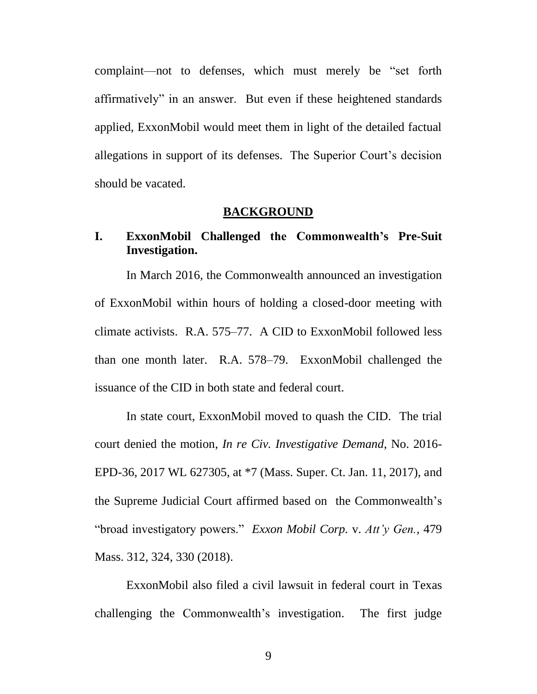complaint—not to defenses, which must merely be "set forth affirmatively" in an answer. But even if these heightened standards applied, ExxonMobil would meet them in light of the detailed factual allegations in support of its defenses. The Superior Court's decision should be vacated.

#### **BACKGROUND**

# <span id="page-8-1"></span><span id="page-8-0"></span>**I. ExxonMobil Challenged the Commonwealth's Pre-Suit Investigation.**

In March 2016, the Commonwealth announced an investigation of ExxonMobil within hours of holding a closed-door meeting with climate activists. R.A. 575–77. A CID to ExxonMobil followed less than one month later. R.A. 578–79. ExxonMobil challenged the issuance of the CID in both state and federal court.

<span id="page-8-2"></span>In state court, ExxonMobil moved to quash the CID. The trial court denied the motion, *In re Civ. Investigative Demand*, No. 2016- EPD-36, 2017 WL 627305, at \*7 (Mass. Super. Ct. Jan. 11, 2017), and the Supreme Judicial Court affirmed based on the Commonwealth's "broad investigatory powers." *Exxon Mobil Corp.* v. *Att'y Gen.*, 479 Mass. 312, 324, 330 (2018).

<span id="page-8-3"></span>ExxonMobil also filed a civil lawsuit in federal court in Texas challenging the Commonwealth's investigation. The first judge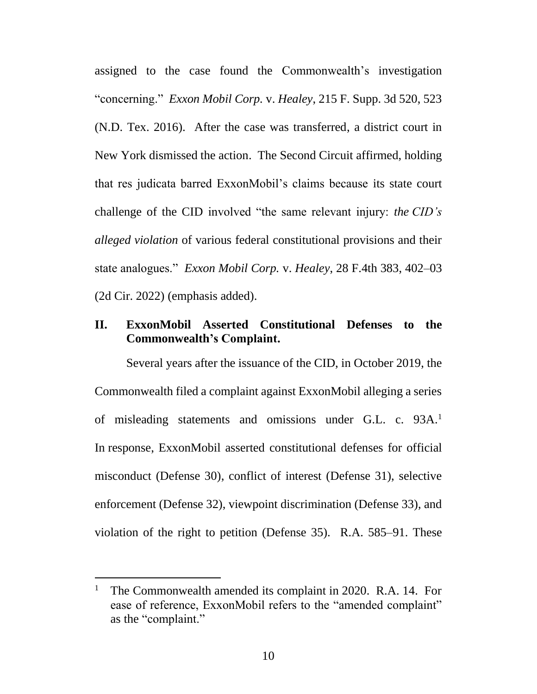<span id="page-9-1"></span>assigned to the case found the Commonwealth's investigation "concerning." *Exxon Mobil Corp.* v. *Healey*, 215 F. Supp. 3d 520, 523 (N.D. Tex. 2016). After the case was transferred, a district court in New York dismissed the action. The Second Circuit affirmed, holding that res judicata barred ExxonMobil's claims because its state court challenge of the CID involved "the same relevant injury: *the CID's alleged violation* of various federal constitutional provisions and their state analogues." *Exxon Mobil Corp.* v. *Healey*, 28 F.4th 383, 402–03 (2d Cir. 2022) (emphasis added).

# <span id="page-9-2"></span><span id="page-9-0"></span>**II. ExxonMobil Asserted Constitutional Defenses to the Commonwealth's Complaint.**

<span id="page-9-3"></span>Several years after the issuance of the CID, in October 2019, the Commonwealth filed a complaint against ExxonMobil alleging a series of misleading statements and omissions under G.L. c. 93A.<sup>1</sup> In response, ExxonMobil asserted constitutional defenses for official misconduct (Defense 30), conflict of interest (Defense 31), selective enforcement (Defense 32), viewpoint discrimination (Defense 33), and violation of the right to petition (Defense 35). R.A. 585–91. These

<sup>&</sup>lt;sup>1</sup> The Commonwealth amended its complaint in 2020. R.A. 14. For ease of reference, ExxonMobil refers to the "amended complaint" as the "complaint."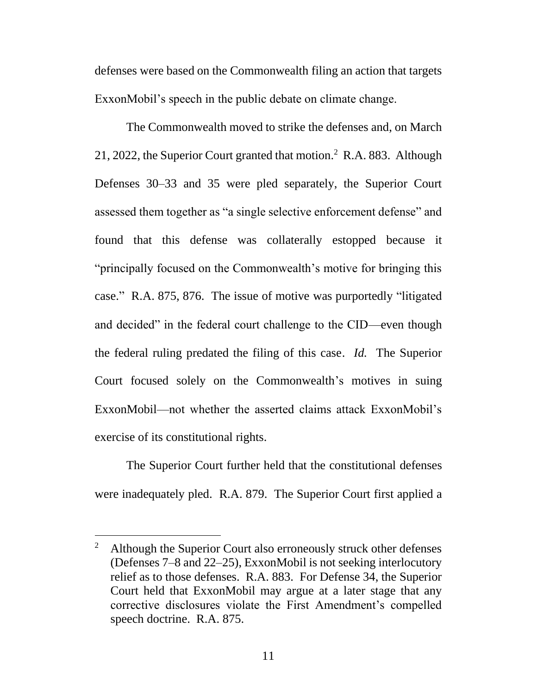defenses were based on the Commonwealth filing an action that targets ExxonMobil's speech in the public debate on climate change.

The Commonwealth moved to strike the defenses and, on March 21, 2022, the Superior Court granted that motion.<sup>2</sup> R.A. 883. Although Defenses 30–33 and 35 were pled separately, the Superior Court assessed them together as "a single selective enforcement defense" and found that this defense was collaterally estopped because it "principally focused on the Commonwealth's motive for bringing this case." R.A. 875, 876. The issue of motive was purportedly "litigated and decided" in the federal court challenge to the CID—even though the federal ruling predated the filing of this case. *Id.* The Superior Court focused solely on the Commonwealth's motives in suing ExxonMobil—not whether the asserted claims attack ExxonMobil's exercise of its constitutional rights.

The Superior Court further held that the constitutional defenses were inadequately pled. R.A. 879. The Superior Court first applied a

<sup>&</sup>lt;sup>2</sup> Although the Superior Court also erroneously struck other defenses (Defenses 7–8 and 22–25), ExxonMobil is not seeking interlocutory relief as to those defenses. R.A. 883. For Defense 34, the Superior Court held that ExxonMobil may argue at a later stage that any corrective disclosures violate the First Amendment's compelled speech doctrine. R.A. 875.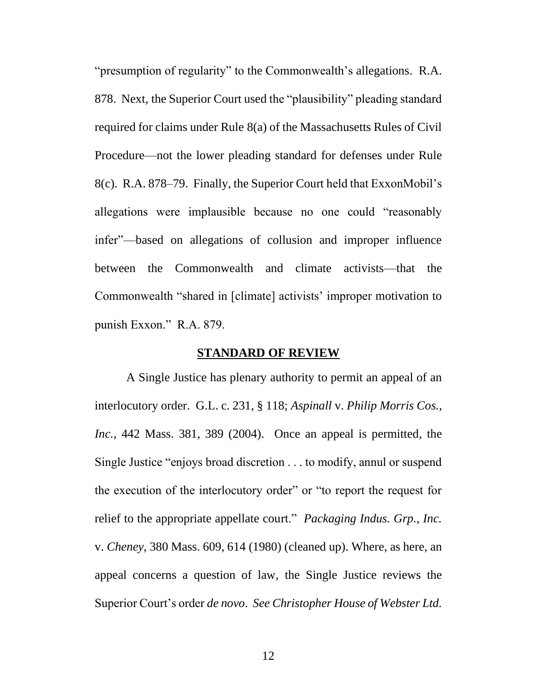<span id="page-11-5"></span>"presumption of regularity" to the Commonwealth's allegations. R.A. 878. Next, the Superior Court used the "plausibility" pleading standard required for claims under Rule 8(a) of the Massachusetts Rules of Civil Procedure—not the lower pleading standard for defenses under Rule 8(c). R.A. 878–79. Finally, the Superior Court held that ExxonMobil's allegations were implausible because no one could "reasonably infer"—based on allegations of collusion and improper influence between the Commonwealth and climate activists—that the Commonwealth "shared in [climate] activists' improper motivation to punish Exxon." R.A. 879.

## <span id="page-11-6"></span><span id="page-11-4"></span><span id="page-11-3"></span><span id="page-11-2"></span><span id="page-11-1"></span>**STANDARD OF REVIEW**

<span id="page-11-0"></span>A Single Justice has plenary authority to permit an appeal of an interlocutory order. G.L. c. 231, § 118; *Aspinall* v. *Philip Morris Cos., Inc.*, 442 Mass. 381, 389 (2004). Once an appeal is permitted, the Single Justice "enjoys broad discretion . . . to modify, annul or suspend the execution of the interlocutory order" or "to report the request for relief to the appropriate appellate court." *Packaging Indus. Grp., Inc.*  v. *Cheney*, 380 Mass. 609, 614 (1980) (cleaned up). Where, as here, an appeal concerns a question of law, the Single Justice reviews the Superior Court's order *de novo*. *See Christopher House of Webster Ltd.*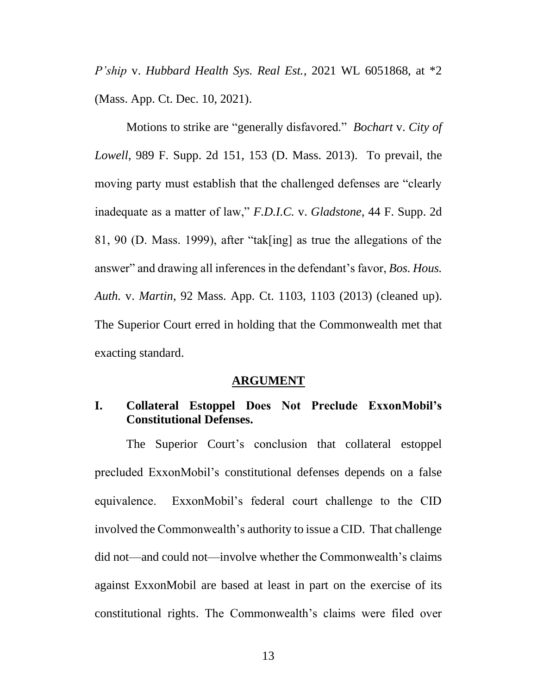*P'ship* v. *Hubbard Health Sys. Real Est.*, 2021 WL 6051868, at \*2 (Mass. App. Ct. Dec. 10, 2021).

<span id="page-12-2"></span>Motions to strike are "generally disfavored." *Bochart* v. *City of Lowell*, 989 F. Supp. 2d 151, 153 (D. Mass. 2013). To prevail, the moving party must establish that the challenged defenses are "clearly inadequate as a matter of law," *F.D.I.C.* v. *Gladstone*, 44 F. Supp. 2d 81, 90 (D. Mass. 1999), after "tak[ing] as true the allegations of the answer" and drawing all inferences in the defendant's favor, *Bos. Hous. Auth.* v. *Martin*, 92 Mass. App. Ct. 1103, 1103 (2013) (cleaned up). The Superior Court erred in holding that the Commonwealth met that exacting standard.

#### <span id="page-12-4"></span><span id="page-12-3"></span>**ARGUMENT**

# <span id="page-12-1"></span><span id="page-12-0"></span>**I. Collateral Estoppel Does Not Preclude ExxonMobil's Constitutional Defenses.**

The Superior Court's conclusion that collateral estoppel precluded ExxonMobil's constitutional defenses depends on a false equivalence. ExxonMobil's federal court challenge to the CID involved the Commonwealth's authority to issue a CID. That challenge did not—and could not—involve whether the Commonwealth's claims against ExxonMobil are based at least in part on the exercise of its constitutional rights. The Commonwealth's claims were filed over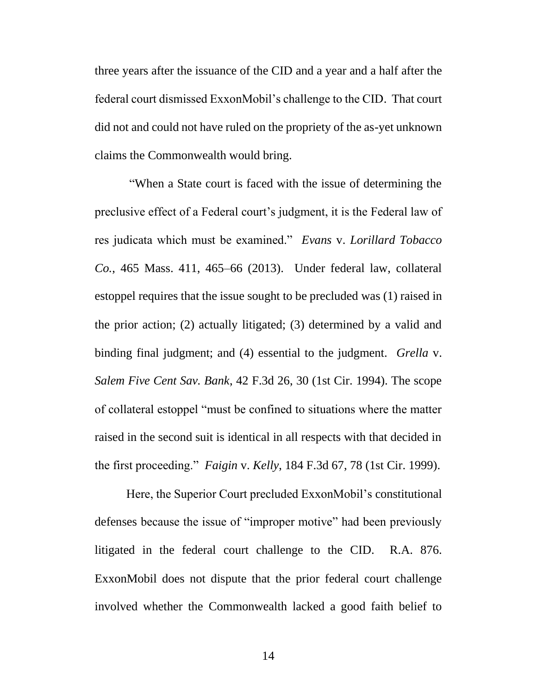three years after the issuance of the CID and a year and a half after the federal court dismissed ExxonMobil's challenge to the CID. That court did not and could not have ruled on the propriety of the as-yet unknown claims the Commonwealth would bring.

<span id="page-13-0"></span>"When a State court is faced with the issue of determining the preclusive effect of a Federal court's judgment, it is the Federal law of res judicata which must be examined." *Evans* v. *Lorillard Tobacco Co.*, 465 Mass. 411, 465–66 (2013). Under federal law, collateral estoppel requires that the issue sought to be precluded was (1) raised in the prior action; (2) actually litigated; (3) determined by a valid and binding final judgment; and (4) essential to the judgment. *Grella* v. *Salem Five Cent Sav. Bank*, 42 F.3d 26, 30 (1st Cir. 1994). The scope of collateral estoppel "must be confined to situations where the matter raised in the second suit is identical in all respects with that decided in the first proceeding." *Faigin* v. *Kelly*, 184 F.3d 67, 78 (1st Cir. 1999).

<span id="page-13-2"></span><span id="page-13-1"></span>Here, the Superior Court precluded ExxonMobil's constitutional defenses because the issue of "improper motive" had been previously litigated in the federal court challenge to the CID. R.A. 876. ExxonMobil does not dispute that the prior federal court challenge involved whether the Commonwealth lacked a good faith belief to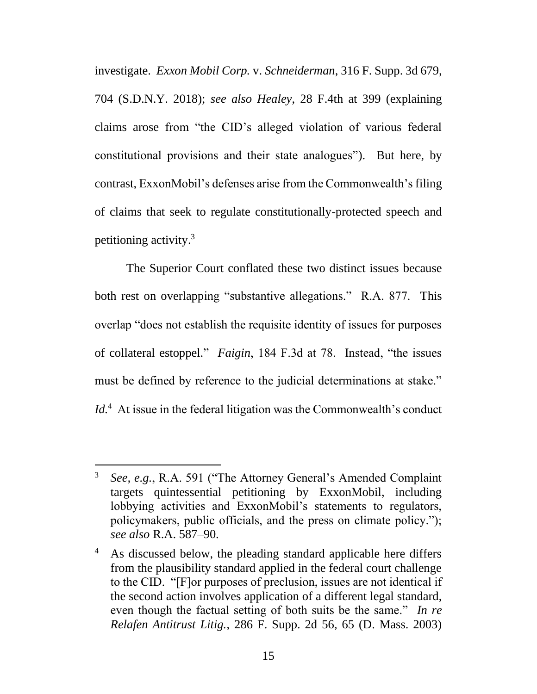<span id="page-14-1"></span><span id="page-14-0"></span>investigate. *Exxon Mobil Corp.* v. *Schneiderman*, 316 F. Supp. 3d 679, 704 (S.D.N.Y. 2018); *see also Healey*, 28 F.4th at 399 (explaining claims arose from "the CID's alleged violation of various federal constitutional provisions and their state analogues"). But here, by contrast, ExxonMobil's defenses arise from the Commonwealth's filing of claims that seek to regulate constitutionally-protected speech and petitioning activity. 3

<span id="page-14-2"></span>The Superior Court conflated these two distinct issues because both rest on overlapping "substantive allegations." R.A. 877. This overlap "does not establish the requisite identity of issues for purposes of collateral estoppel." *Faigin*, 184 F.3d at 78. Instead, "the issues must be defined by reference to the judicial determinations at stake." Id.<sup>4</sup> At issue in the federal litigation was the Commonwealth's conduct

<sup>3</sup> *See, e.g.*, R.A. 591 ("The Attorney General's Amended Complaint targets quintessential petitioning by ExxonMobil, including lobbying activities and ExxonMobil's statements to regulators, policymakers, public officials, and the press on climate policy."); *see also* R.A. 587–90.

<span id="page-14-3"></span><sup>&</sup>lt;sup>4</sup> As discussed below, the pleading standard applicable here differs from the plausibility standard applied in the federal court challenge to the CID. "[F]or purposes of preclusion, issues are not identical if the second action involves application of a different legal standard, even though the factual setting of both suits be the same." *In re Relafen Antitrust Litig.*, 286 F. Supp. 2d 56, 65 (D. Mass. 2003)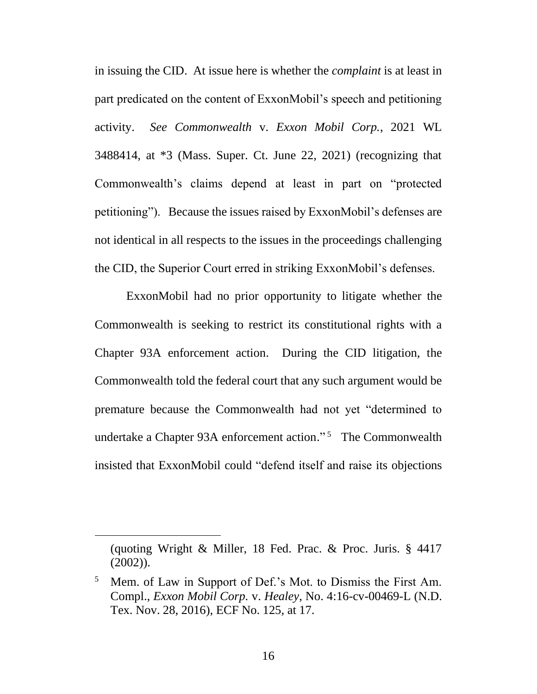<span id="page-15-0"></span>in issuing the CID. At issue here is whether the *complaint* is at least in part predicated on the content of ExxonMobil's speech and petitioning activity. *See Commonwealth* v. *Exxon Mobil Corp.*, 2021 WL 3488414, at \*3 (Mass. Super. Ct. June 22, 2021) (recognizing that Commonwealth's claims depend at least in part on "protected petitioning"). Because the issues raised by ExxonMobil's defenses are not identical in all respects to the issues in the proceedings challenging the CID, the Superior Court erred in striking ExxonMobil's defenses.

ExxonMobil had no prior opportunity to litigate whether the Commonwealth is seeking to restrict its constitutional rights with a Chapter 93A enforcement action. During the CID litigation, the Commonwealth told the federal court that any such argument would be premature because the Commonwealth had not yet "determined to undertake a Chapter 93A enforcement action."<sup>5</sup> The Commonwealth insisted that ExxonMobil could "defend itself and raise its objections

<sup>(</sup>quoting Wright & Miller, 18 Fed. Prac. & Proc. Juris. § 4417 (2002)).

<span id="page-15-1"></span><sup>5</sup> Mem. of Law in Support of Def.'s Mot. to Dismiss the First Am. Compl., *Exxon Mobil Corp.* v. *Healey*, No. 4:16-cv-00469-L (N.D. Tex. Nov. 28, 2016), ECF No. 125, at 17.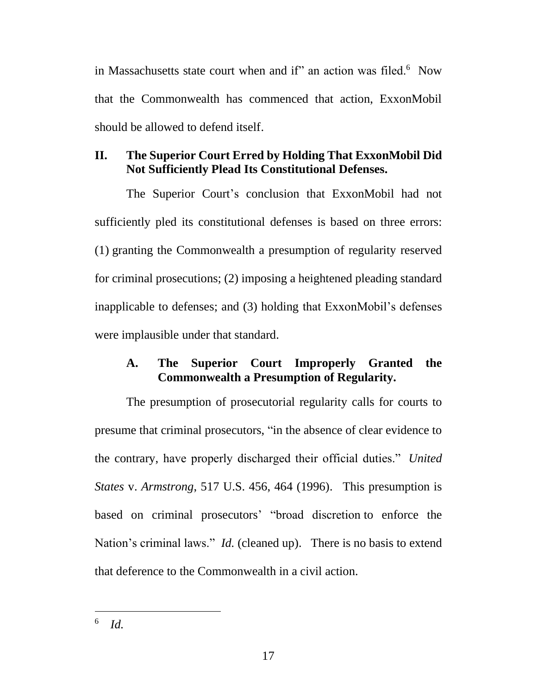in Massachusetts state court when and if" an action was filed.<sup>6</sup> Now that the Commonwealth has commenced that action, ExxonMobil should be allowed to defend itself.

# <span id="page-16-0"></span>**II. The Superior Court Erred by Holding That ExxonMobil Did Not Sufficiently Plead Its Constitutional Defenses.**

The Superior Court's conclusion that ExxonMobil had not sufficiently pled its constitutional defenses is based on three errors: (1) granting the Commonwealth a presumption of regularity reserved for criminal prosecutions; (2) imposing a heightened pleading standard inapplicable to defenses; and (3) holding that ExxonMobil's defenses were implausible under that standard.

# <span id="page-16-2"></span><span id="page-16-1"></span>**A. The Superior Court Improperly Granted the Commonwealth a Presumption of Regularity.**

The presumption of prosecutorial regularity calls for courts to presume that criminal prosecutors, "in the absence of clear evidence to the contrary, have properly discharged their official duties." *United States* v. *Armstrong*, 517 U.S. 456, 464 (1996). This presumption is based on criminal prosecutors' "broad discretion to enforce the Nation's criminal laws." *Id.* (cleaned up). There is no basis to extend that deference to the Commonwealth in a civil action.

<sup>6</sup> *Id.*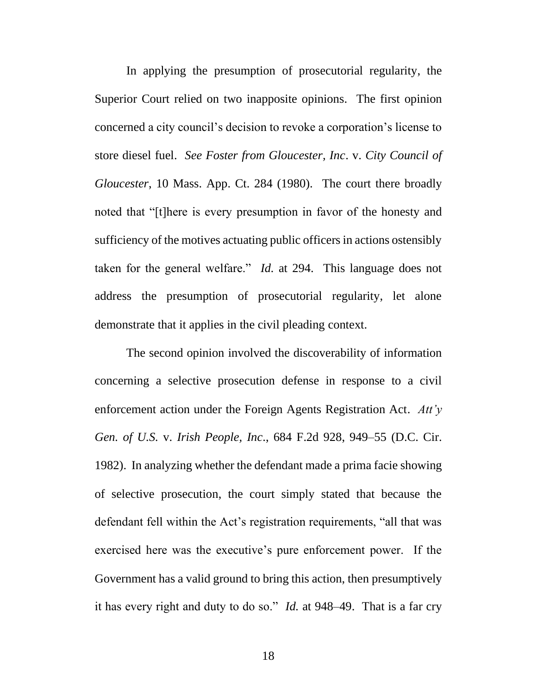<span id="page-17-1"></span>In applying the presumption of prosecutorial regularity, the Superior Court relied on two inapposite opinions. The first opinion concerned a city council's decision to revoke a corporation's license to store diesel fuel. *See Foster from Gloucester, Inc*. v. *City Council of Gloucester*, 10 Mass. App. Ct. 284 (1980). The court there broadly noted that "[t]here is every presumption in favor of the honesty and sufficiency of the motives actuating public officers in actions ostensibly taken for the general welfare." *Id.* at 294. This language does not address the presumption of prosecutorial regularity, let alone demonstrate that it applies in the civil pleading context.

<span id="page-17-0"></span>The second opinion involved the discoverability of information concerning a selective prosecution defense in response to a civil enforcement action under the Foreign Agents Registration Act. *Att'y Gen. of U.S.* v. *Irish People, Inc*., 684 F.2d 928, 949–55 (D.C. Cir. 1982). In analyzing whether the defendant made a prima facie showing of selective prosecution, the court simply stated that because the defendant fell within the Act's registration requirements, "all that was exercised here was the executive's pure enforcement power. If the Government has a valid ground to bring this action, then presumptively it has every right and duty to do so." *Id.* at 948–49. That is a far cry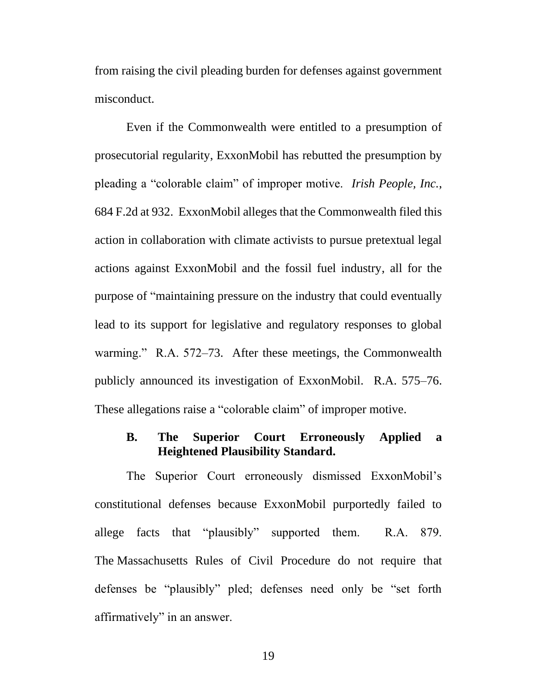from raising the civil pleading burden for defenses against government misconduct.

<span id="page-18-1"></span>Even if the Commonwealth were entitled to a presumption of prosecutorial regularity, ExxonMobil has rebutted the presumption by pleading a "colorable claim" of improper motive. *Irish People, Inc.*, 684 F.2d at 932. ExxonMobil alleges that the Commonwealth filed this action in collaboration with climate activists to pursue pretextual legal actions against ExxonMobil and the fossil fuel industry, all for the purpose of "maintaining pressure on the industry that could eventually lead to its support for legislative and regulatory responses to global warming." R.A. 572–73. After these meetings, the Commonwealth publicly announced its investigation of ExxonMobil. R.A. 575–76. These allegations raise a "colorable claim" of improper motive.

## <span id="page-18-0"></span>**B. The Superior Court Erroneously Applied a Heightened Plausibility Standard.**

The Superior Court erroneously dismissed ExxonMobil's constitutional defenses because ExxonMobil purportedly failed to allege facts that "plausibly" supported them. R.A. 879. The Massachusetts Rules of Civil Procedure do not require that defenses be "plausibly" pled; defenses need only be "set forth affirmatively" in an answer.

19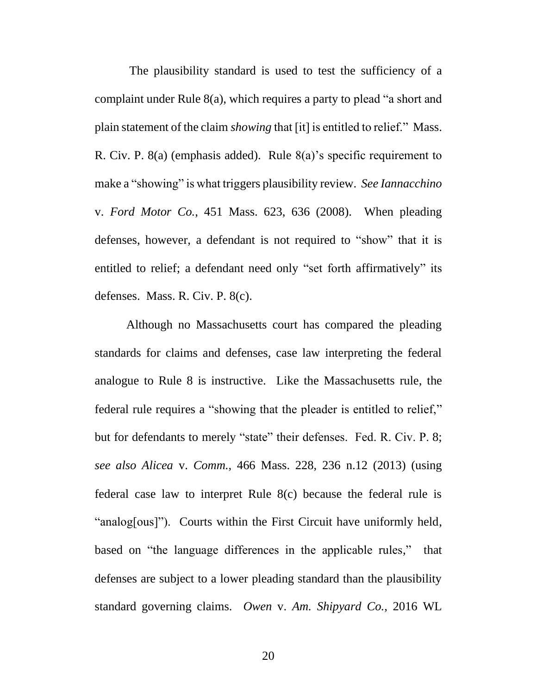<span id="page-19-3"></span><span id="page-19-1"></span>The plausibility standard is used to test the sufficiency of a complaint under Rule 8(a), which requires a party to plead "a short and plain statement of the claim *showing* that [it] is entitled to relief." Mass. R. Civ. P. 8(a) (emphasis added). Rule 8(a)'s specific requirement to make a "showing" is what triggers plausibility review. *See Iannacchino*  v. *Ford Motor Co.*, 451 Mass. 623, 636 (2008). When pleading defenses, however, a defendant is not required to "show" that it is entitled to relief; a defendant need only "set forth affirmatively" its defenses. Mass. R. Civ. P. 8(c).

<span id="page-19-5"></span><span id="page-19-4"></span><span id="page-19-2"></span><span id="page-19-0"></span>Although no Massachusetts court has compared the pleading standards for claims and defenses, case law interpreting the federal analogue to Rule 8 is instructive. Like the Massachusetts rule, the federal rule requires a "showing that the pleader is entitled to relief," but for defendants to merely "state" their defenses. Fed. R. Civ. P. 8; *see also Alicea* v. *Comm.*, 466 Mass. 228, 236 n.12 (2013) (using federal case law to interpret Rule 8(c) because the federal rule is "analog[ous]"). Courts within the First Circuit have uniformly held, based on "the language differences in the applicable rules," that defenses are subject to a lower pleading standard than the plausibility standard governing claims. *Owen* v. *Am. Shipyard Co.*, 2016 WL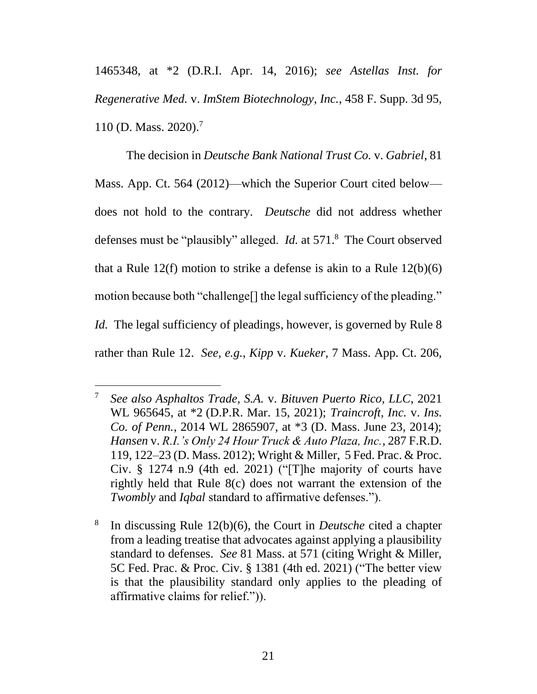<span id="page-20-1"></span>1465348, at \*2 (D.R.I. Apr. 14, 2016); *see Astellas Inst. for Regenerative Med.* v. *ImStem Biotechnology, Inc.*, 458 F. Supp. 3d 95, 110 (D. Mass. 2020). 7

<span id="page-20-10"></span><span id="page-20-2"></span>The decision in *Deutsche Bank National Trust Co.* v. *Gabriel*, 81 Mass. App. Ct. 564 (2012)—which the Superior Court cited below does not hold to the contrary. *Deutsche* did not address whether defenses must be "plausibly" alleged. *Id.* at 571.<sup>8</sup> The Court observed that a Rule  $12(f)$  motion to strike a defense is akin to a Rule  $12(b)(6)$ motion because both "challenge[] the legal sufficiency of the pleading." *Id.* The legal sufficiency of pleadings, however, is governed by Rule 8 rather than Rule 12. *See, e.g.*, *Kipp* v. *Kueker*, 7 Mass. App. Ct. 206,

<span id="page-20-11"></span><span id="page-20-8"></span><span id="page-20-6"></span><span id="page-20-5"></span><span id="page-20-4"></span><span id="page-20-3"></span><span id="page-20-0"></span><sup>7</sup> *See also Asphaltos Trade, S.A.* v. *Bituven Puerto Rico, LLC*, 2021 WL 965645, at \*2 (D.P.R. Mar. 15, 2021); *Traincroft, Inc.* v. *Ins. Co. of Penn.*, 2014 WL 2865907, at \*3 (D. Mass. June 23, 2014); *Hansen* v. *R.I.'s Only 24 Hour Truck & Auto Plaza, Inc.*, 287 F.R.D. 119, 122–23 (D. Mass. 2012); Wright & Miller, 5 Fed. Prac. & Proc. Civ. § 1274 n.9 (4th ed. 2021) ("[T]he majority of courts have rightly held that Rule 8(c) does not warrant the extension of the *Twombly* and *Iqbal* standard to affirmative defenses.").

<span id="page-20-9"></span><span id="page-20-7"></span><sup>8</sup> In discussing Rule 12(b)(6), the Court in *Deutsche* cited a chapter from a leading treatise that advocates against applying a plausibility standard to defenses. *See* 81 Mass. at 571 (citing Wright & Miller, 5C Fed. Prac. & Proc. Civ. § 1381 (4th ed. 2021) ("The better view is that the plausibility standard only applies to the pleading of affirmative claims for relief.")).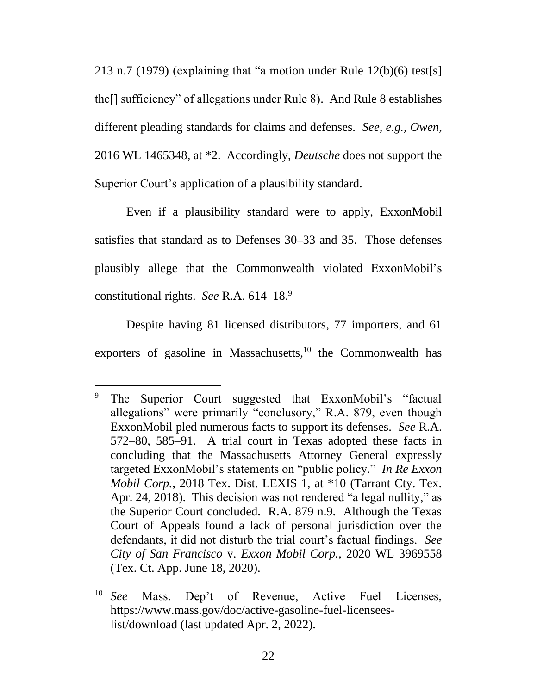<span id="page-21-5"></span><span id="page-21-4"></span><span id="page-21-2"></span>213 n.7 (1979) (explaining that "a motion under Rule 12(b)(6) test[s] the[] sufficiency" of allegations under Rule 8). And Rule 8 establishes different pleading standards for claims and defenses. *See, e.g.*, *Owen*, 2016 WL 1465348, at \*2. Accordingly, *Deutsche* does not support the Superior Court's application of a plausibility standard.

Even if a plausibility standard were to apply, ExxonMobil satisfies that standard as to Defenses 30–33 and 35. Those defenses plausibly allege that the Commonwealth violated ExxonMobil's constitutional rights. *See* R.A. 614–18. 9

Despite having 81 licensed distributors, 77 importers, and 61 exporters of gasoline in Massachusetts, $10$  the Commonwealth has

<span id="page-21-1"></span>The Superior Court suggested that ExxonMobil's "factual" allegations" were primarily "conclusory," R.A. 879, even though ExxonMobil pled numerous facts to support its defenses. *See* R.A. 572–80, 585–91. A trial court in Texas adopted these facts in concluding that the Massachusetts Attorney General expressly targeted ExxonMobil's statements on "public policy." *In Re Exxon Mobil Corp.*, 2018 Tex. Dist. LEXIS 1, at \*10 (Tarrant Cty. Tex. Apr. 24, 2018). This decision was not rendered "a legal nullity," as the Superior Court concluded. R.A. 879 n.9. Although the Texas Court of Appeals found a lack of personal jurisdiction over the defendants, it did not disturb the trial court's factual findings. *See City of San Francisco* v. *Exxon Mobil Corp.*, 2020 WL 3969558 (Tex. Ct. App. June 18, 2020).

<span id="page-21-3"></span><span id="page-21-0"></span><sup>10</sup> *See* Mass. Dep't of Revenue, Active Fuel Licenses, https://www.mass.gov/doc/active-gasoline-fuel-licenseeslist/download (last updated Apr. 2, 2022).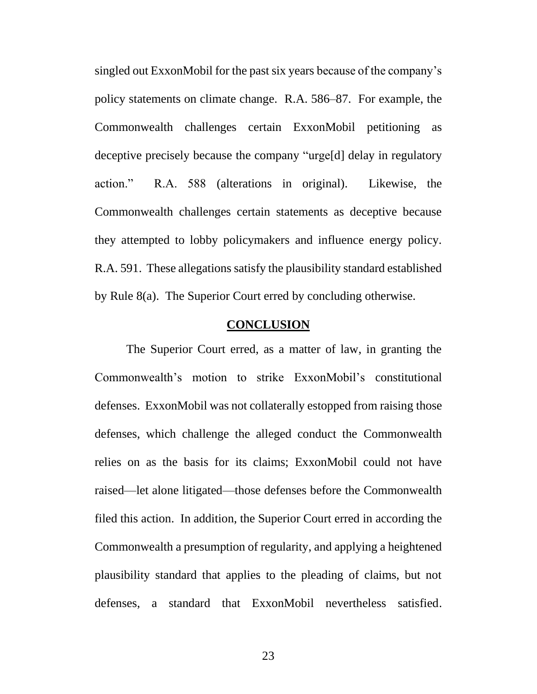singled out ExxonMobil for the past six years because of the company's policy statements on climate change. R.A. 586–87. For example, the Commonwealth challenges certain ExxonMobil petitioning as deceptive precisely because the company "urge[d] delay in regulatory action." R.A. 588 (alterations in original). Likewise, the Commonwealth challenges certain statements as deceptive because they attempted to lobby policymakers and influence energy policy. R.A. 591. These allegations satisfy the plausibility standard established by Rule 8(a). The Superior Court erred by concluding otherwise.

## **CONCLUSION**

<span id="page-22-1"></span><span id="page-22-0"></span>The Superior Court erred, as a matter of law, in granting the Commonwealth's motion to strike ExxonMobil's constitutional defenses. ExxonMobil was not collaterally estopped from raising those defenses, which challenge the alleged conduct the Commonwealth relies on as the basis for its claims; ExxonMobil could not have raised—let alone litigated—those defenses before the Commonwealth filed this action. In addition, the Superior Court erred in according the Commonwealth a presumption of regularity, and applying a heightened plausibility standard that applies to the pleading of claims, but not defenses, a standard that ExxonMobil nevertheless satisfied.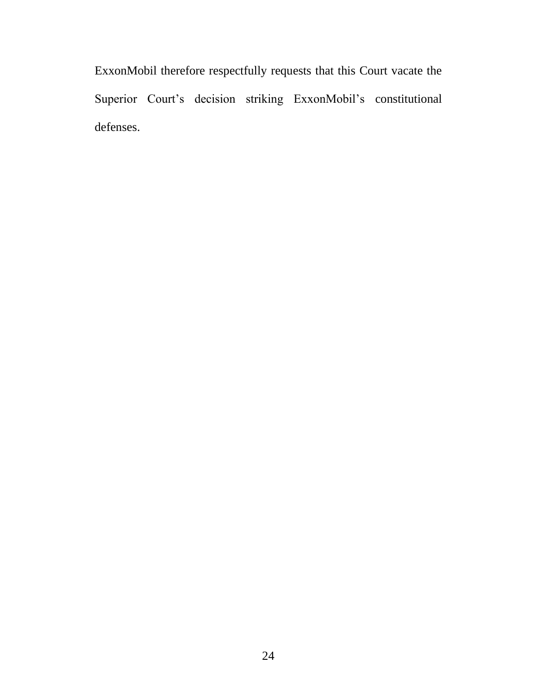ExxonMobil therefore respectfully requests that this Court vacate the Superior Court's decision striking ExxonMobil's constitutional defenses.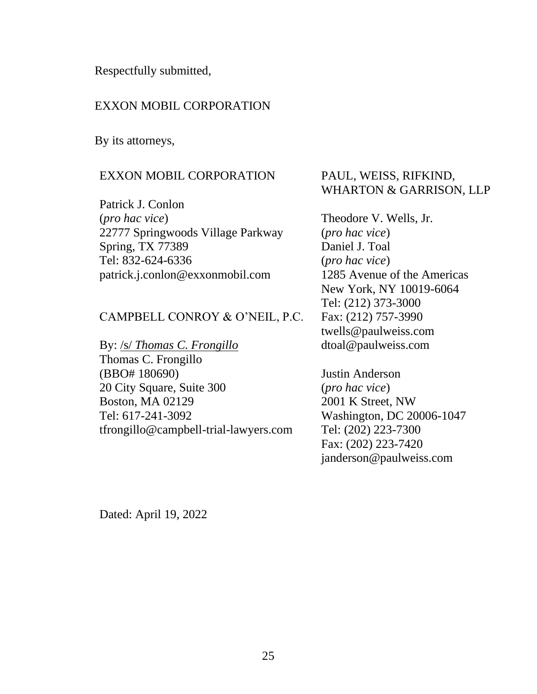Respectfully submitted,

# EXXON MOBIL CORPORATION

By its attorneys,

## EXXON MOBIL CORPORATION

Patrick J. Conlon (*pro hac vice*) 22777 Springwoods Village Parkway Spring, TX 77389 Tel: 832-624-6336 patrick.j.conlon@exxonmobil.com

## CAMPBELL CONROY & O'NEIL, P.C.

By: /s/ *Thomas C. Frongillo*

Thomas C. Frongillo (BBO# 180690) 20 City Square, Suite 300 Boston, MA 02129 Tel: 617-241-3092 tfrongillo@campbell-trial-lawyers.com

# PAUL, WEISS, RIFKIND, WHARTON & GARRISON, LLP

Theodore V. Wells, Jr. (*pro hac vice*) Daniel J. Toal (*pro hac vice*) 1285 Avenue of the Americas New York, NY 10019-6064 Tel: (212) 373-3000 Fax: (212) 757-3990 twells@paulweiss.com dtoal@paulweiss.com

Justin Anderson (*pro hac vice*) 2001 K Street, NW Washington, DC 20006-1047 Tel: (202) 223-7300 Fax: (202) 223-7420 janderson@paulweiss.com

Dated: April 19, 2022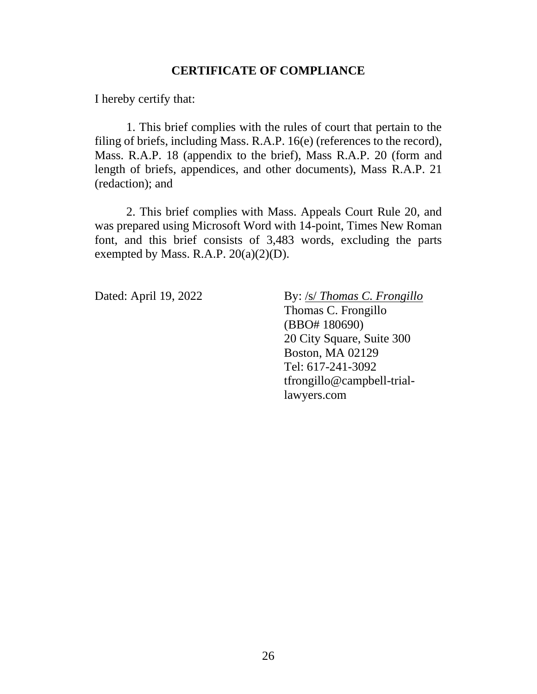# **CERTIFICATE OF COMPLIANCE**

I hereby certify that:

1. This brief complies with the rules of court that pertain to the filing of briefs, including Mass. R.A.P. 16(e) (references to the record), Mass. R.A.P. 18 (appendix to the brief), Mass R.A.P. 20 (form and length of briefs, appendices, and other documents), Mass R.A.P. 21 (redaction); and

2. This brief complies with Mass. Appeals Court Rule 20, and was prepared using Microsoft Word with 14-point, Times New Roman font, and this brief consists of 3,483 words, excluding the parts exempted by Mass. R.A.P.  $20(a)(2)(D)$ .

Dated: April 19, 2022 By: /s/ *Thomas C. Frongillo* Thomas C. Frongillo (BBO# 180690) 20 City Square, Suite 300 Boston, MA 02129 Tel: 617-241-3092 tfrongillo@campbell-triallawyers.com